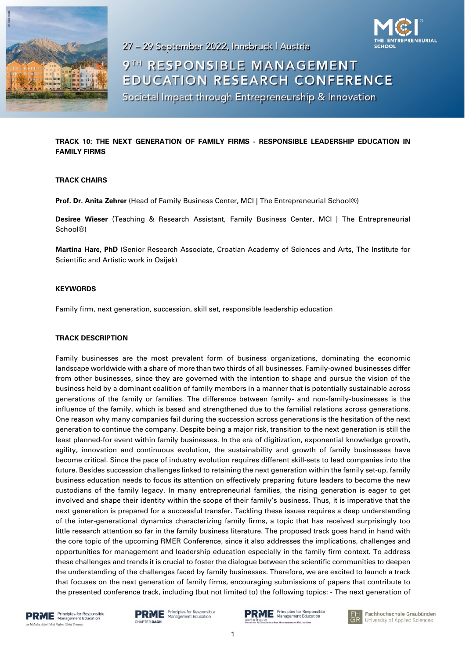

27 - 29 September 2022, Innsbruck | Austria



9TH RESPONSIBLE MANAGEMENT **EDUCATION RESEARCH CONFERENCE** Societal Impact through Entrepreneurship & Innovation

# **TRACK 10: THE NEXT GENERATION OF FAMILY FIRMS - RESPONSIBLE LEADERSHIP EDUCATION IN FAMILY FIRMS**

### **TRACK CHAIRS**

**Prof. Dr. Anita Zehrer** (Head of Family Business Center, MCI | The Entrepreneurial School®)

**Desiree Wieser** (Teaching & Research Assistant, Family Business Center, MCI | The Entrepreneurial School®)

**Martina Harc, PhD** (Senior Research Associate, Croatian Academy of Sciences and Arts, The Institute for Scientific and Artistic work in Osijek)

#### **KEYWORDS**

Family firm, next generation, succession, skill set, responsible leadership education

#### **TRACK DESCRIPTION**

Family businesses are the most prevalent form of business organizations, dominating the economic landscape worldwide with a share of more than two thirds of all businesses. Family-owned businesses differ from other businesses, since they are governed with the intention to shape and pursue the vision of the business held by a dominant coalition of family members in a manner that is potentially sustainable across generations of the family or families. The difference between family- and non-family-businesses is the influence of the family, which is based and strengthened due to the familial relations across generations. One reason why many companies fail during the succession across generations is the hesitation of the next generation to continue the company. Despite being a major risk, transition to the next generation is still the least planned-for event within family businesses. In the era of digitization, exponential knowledge growth, agility, innovation and continuous evolution, the sustainability and growth of family businesses have become critical. Since the pace of industry evolution requires different skill-sets to lead companies into the future. Besides succession challenges linked to retaining the next generation within the family set-up, family business education needs to focus its attention on effectively preparing future leaders to become the new custodians of the family legacy. In many entrepreneurial families, the rising generation is eager to get involved and shape their identity within the scope of their family's business. Thus, it is imperative that the next generation is prepared for a successful transfer. Tackling these issues requires a deep understanding of the inter-generational dynamics characterizing family firms, a topic that has received surprisingly too little research attention so far in the family business literature. The proposed track goes hand in hand with the core topic of the upcoming RMER Conference, since it also addresses the implications, challenges and opportunities for management and leadership education especially in the family firm context. To address these challenges and trends it is crucial to foster the dialogue between the scientific communities to deepen the understanding of the challenges faced by family businesses. Therefore, we are excited to launch a track that focuses on the next generation of family firms, encouraging submissions of papers that contribute to the presented conference track, including (but not limited to) the following topics: - The next generation of



**PRME** Principles for Responsible **CHAPTER DACH** 





Fachhochschule Graubünden University of Applied Sciences